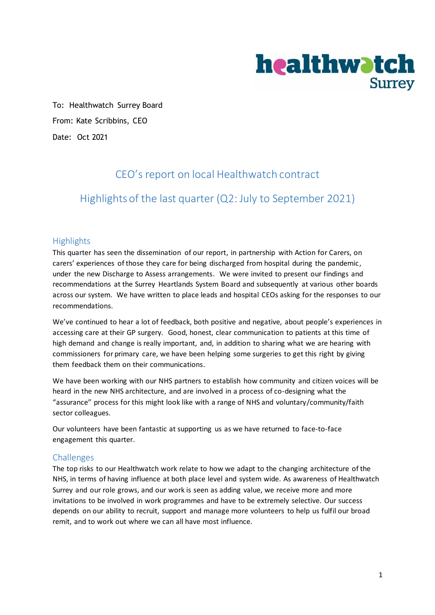

To: Healthwatch Surrey Board From: Kate Scribbins, CEO Date: Oct 2021

## CEO's report on local Healthwatch contract

## Highlights of the last quarter (Q2: July to September 2021)

### **Highlights**

This quarter has seen the dissemination of our report, in partnership with Action for Carers, on carers' experiences of those they care for being discharged from hospital during the pandemic, under the new Discharge to Assess arrangements. We were invited to present our findings and recommendations at the Surrey Heartlands System Board and subsequently at various other boards across our system. We have written to place leads and hospital CEOs asking for the responses to our recommendations.

We've continued to hear a lot of feedback, both positive and negative, about people's experiences in accessing care at their GP surgery. Good, honest, clear communication to patients at this time of high demand and change is really important, and, in addition to sharing what we are hearing with commissioners for primary care, we have been helping some surgeries to get this right by giving them feedback them on their communications.

We have been working with our NHS partners to establish how community and citizen voices will be heard in the new NHS architecture, and are involved in a process of co-designing what the "assurance" process for this might look like with a range of NHS and voluntary/community/faith sector colleagues.

Our volunteers have been fantastic at supporting us as we have returned to face-to-face engagement this quarter.

#### Challenges

The top risks to our Healthwatch work relate to how we adapt to the changing architecture of the NHS, in terms of having influence at both place level and system wide. As awareness of Healthwatch Surrey and our role grows, and our work is seen as adding value, we receive more and more invitations to be involved in work programmes and have to be extremely selective. Our success depends on our ability to recruit, support and manage more volunteers to help us fulfil our broad remit, and to work out where we can all have most influence.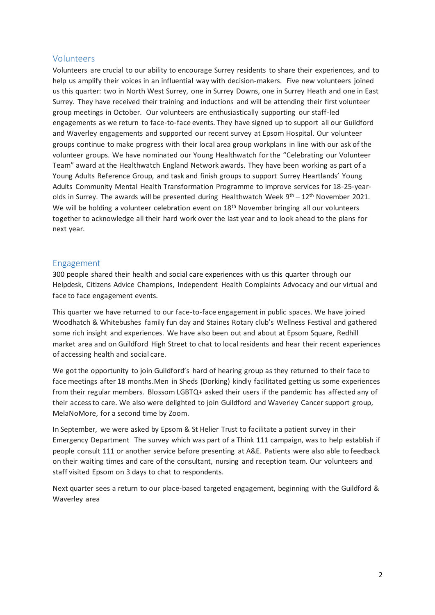#### Volunteers

Volunteers are crucial to our ability to encourage Surrey residents to share their experiences, and to help us amplify their voices in an influential way with decision-makers. Five new volunteers joined us this quarter: two in North West Surrey, one in Surrey Downs, one in Surrey Heath and one in East Surrey. They have received their training and inductions and will be attending their first volunteer group meetings in October. Our volunteers are enthusiastically supporting our staff-led engagements as we return to face-to-face events. They have signed up to support all our Guildford and Waverley engagements and supported our recent survey at Epsom Hospital. Our volunteer groups continue to make progress with their local area group workplans in line with our ask of the volunteer groups. We have nominated our Young Healthwatch for the "Celebrating our Volunteer Team" award at the Healthwatch England Network awards. They have been working as part of a Young Adults Reference Group, and task and finish groups to support Surrey Heartlands' Young Adults Community Mental Health Transformation Programme to improve services for 18-25-yearolds in Surrey. The awards will be presented during Healthwatch Week  $9^{th} - 12^{th}$  November 2021. We will be holding a volunteer celebration event on 18<sup>th</sup> November bringing all our volunteers together to acknowledge all their hard work over the last year and to look ahead to the plans for next year.

#### Engagement

300 people shared their health and social care experiences with us this quarter through our Helpdesk, Citizens Advice Champions, Independent Health Complaints Advocacy and our virtual and face to face engagement events.

This quarter we have returned to our face-to-face engagement in public spaces. We have joined Woodhatch & Whitebushes family fun day and Staines Rotary club's Wellness Festival and gathered some rich insight and experiences. We have also been out and about at Epsom Square, Redhill market area and on Guildford High Street to chat to local residents and hear their recent experiences of accessing health and social care.

We got the opportunity to join Guildford's hard of hearing group as they returned to their face to face meetings after 18 months.Men in Sheds (Dorking) kindly facilitated getting us some experiences from their regular members. Blossom LGBTQ+ asked their users if the pandemic has affected any of their access to care. We also were delighted to join Guildford and Waverley Cancer support group, MelaNoMore, for a second time by Zoom.

In September, we were asked by Epsom & St Helier Trust to facilitate a patient survey in their Emergency Department The survey which was part of a Think 111 campaign, was to help establish if people consult 111 or another service before presenting at A&E. Patients were also able to feedback on their waiting times and care of the consultant, nursing and reception team. Our volunteers and staff visited Epsom on 3 days to chat to respondents.

Next quarter sees a return to our place-based targeted engagement, beginning with the Guildford & Waverley area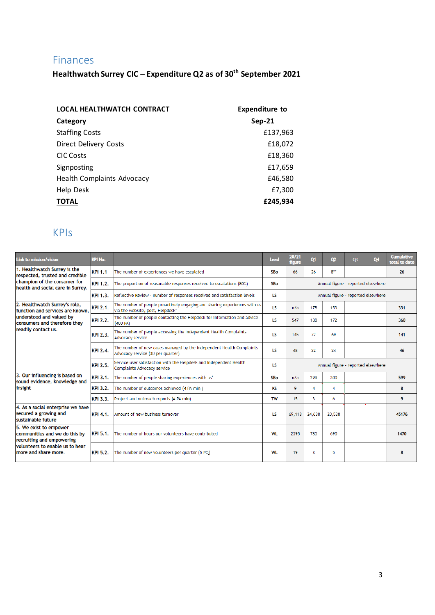## Finances

**Healthwatch Surrey CIC – Expenditure Q2 as of 30 th September 2021**

| <b>LOCAL HEALTHWATCH CONTRACT</b> | <b>Expenditure to</b> |  |  |  |  |
|-----------------------------------|-----------------------|--|--|--|--|
| Category                          | <b>Sep-21</b>         |  |  |  |  |
| <b>Staffing Costs</b>             | £137,963              |  |  |  |  |
| <b>Direct Delivery Costs</b>      | £18,072               |  |  |  |  |
| <b>CIC Costs</b>                  | £18,360               |  |  |  |  |
| Signposting                       | £17,659               |  |  |  |  |
| <b>Health Complaints Advocacy</b> | £46,580               |  |  |  |  |
| Help Desk                         | £7,300                |  |  |  |  |
| <b>TOTAL</b>                      | £245.934              |  |  |  |  |

# KPIs

| Link to mission/vision                                                               | <b>KPI No.</b>                                                           |                                                                                                               | Lead      | 20/21<br>figure                    | 01     | 02                                 | <b>O3</b>                          | Q4 | <b>Cumulative</b><br>total to date |
|--------------------------------------------------------------------------------------|--------------------------------------------------------------------------|---------------------------------------------------------------------------------------------------------------|-----------|------------------------------------|--------|------------------------------------|------------------------------------|----|------------------------------------|
| 1. Healthwatch Surrey is the<br>respected, trusted and credible                      | <b>KPI 1.1</b>                                                           | The number of experiences we have escalated                                                                   | SBo       | 66                                 | 26     | $8***$                             |                                    |    | 26                                 |
| champion of the consumer for<br>health and social care in Surrey.                    | <b>KPI 1.2.</b>                                                          | The proportion of reasonable responses received to escalations (80%)                                          | SBo       |                                    |        |                                    | Annual figure - reported elsewhere |    |                                    |
|                                                                                      | Reflective Review - number of responses received and satisfaction levels | LS                                                                                                            |           |                                    |        | Annual figure - reported elsewhere |                                    |    |                                    |
| 2. Healthwatch Surrey's role,<br>function and services are known.                    | <b>KPI 2.1.</b>                                                          | The number of people proactively engaging and sharing experiences with us<br>via the website, post, Helpdesk* | LS        | n/a                                | 178    | 153                                |                                    |    | 331                                |
| understood and valued by<br>consumers and therefore they                             | <b>KPI 2.2.</b>                                                          | The number of people contacting the Helpdesk for information and advice<br>(400 PA)                           | LS        | 547                                | 188    | 172                                |                                    |    | 360                                |
| readily contact us.                                                                  | <b>KPI 2.3.</b>                                                          | The number of people accessing the Independent Health Complaints<br>Advocacy service                          | LS        | 145                                | 72     | 69                                 |                                    |    | 141                                |
|                                                                                      | <b>KPI 2.4.</b>                                                          | The number of new cases managed by the Independent Health Complaints<br>Advocacy service (30 per quarter)     | <b>LS</b> | 48                                 | 22     | 24                                 |                                    |    | 46                                 |
|                                                                                      | <b>KPI 2.5.</b>                                                          | Service user satisfaction with the Helpdesk and Independent Health<br>Complaints Advocacy service             | LS        | Annual figure - reported elsewhere |        |                                    |                                    |    |                                    |
| 3. Our influencing is based on<br>sound evidence, knowledge and                      | <b>KPI 3.1.</b>                                                          | The number of people sharing experiences with us*                                                             | SBo       | n/a                                | 299    | 300                                |                                    |    | 599                                |
| insight                                                                              | <b>KPI 3.2.</b>                                                          | The number of outcomes achieved (4 PA min)                                                                    | KS        | 9                                  | 4      | 4                                  |                                    |    | 8                                  |
|                                                                                      | <b>KPI 3.3.</b>                                                          | Project and outreach reports (4 PA min)                                                                       | <b>TW</b> | 15                                 | 3      | 6                                  |                                    |    | 9                                  |
| 4. As a social enterprise we have<br>secured a growing and<br>sustainable future     | <b>KPI 4.1.</b>                                                          | Amount of new business turnover                                                                               | LS        | 69,113                             | 24,638 | 20,538                             |                                    |    | 45176                              |
| 5. We exist to empower<br>communities and we do this by<br>recruiting and empowering | <b>KPI 5.1.</b>                                                          | The number of hours our volunteers have contributed                                                           | <b>WL</b> | 2395                               | 780    | 690                                |                                    |    | 1470                               |
| volunteers to enable us to hear<br>more and share more.                              | <b>KPI 5.2.</b>                                                          | The number of new volunteers per quarter (5 PQ)                                                               | WL        | 19                                 | 3      | 5                                  |                                    |    |                                    |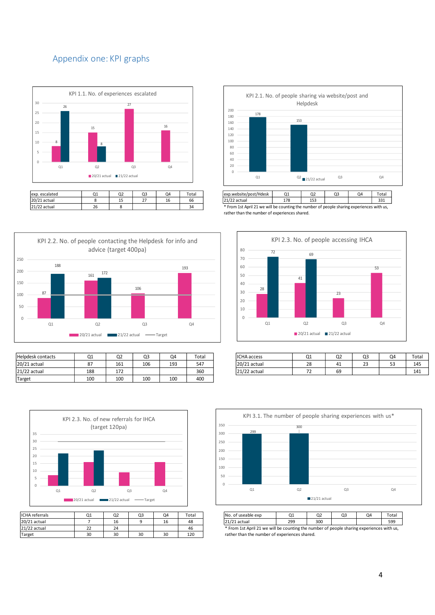### Appendix one: KPI graphs





21/22 actual 26 8 8 34 34 \* From 1st April 21 we will be counting the number of people sharing experiences with us,

rather than the number of experiences shared.



| <b>Helpdesk contacts</b> | $\sim$<br>u | Q2  | Q <sub>3</sub> | Q4  | Total | <b>ICHA</b> access | $\sim$<br>∽              | $\sim$<br>uz | Q3          | Q4       | Total |
|--------------------------|-------------|-----|----------------|-----|-------|--------------------|--------------------------|--------------|-------------|----------|-------|
| 20/21 actual             | ດ¬          | 161 | 106            | 193 | 547   | 20/21 actual       | 70<br>20                 | 4⊥           | $\sim$<br>ت | --<br>-- | 145   |
| 21/22 actual             | 188         | 172 |                |     | 360   | 21/22 actual       | $\overline{\phantom{a}}$ | 69           |             |          | 141   |
| Target                   | 100         | 100 | 100            | 100 | 400   |                    |                          |              |             |          |       |



| <b>ICHA</b> referrals | 21 | Q <sub>2</sub> | Q3 | Q4 | Total        |                                                                                          | INo. of useable exp | Ο1  | Q <sub>2</sub> | OΞ | Q <sub>4</sub> | Tota |
|-----------------------|----|----------------|----|----|--------------|------------------------------------------------------------------------------------------|---------------------|-----|----------------|----|----------------|------|
| 20/21 actual          |    | 16             |    | τo | 48           |                                                                                          | 21/21 actual        | 299 | 300            |    |                | 599  |
| 21/22 actual          |    | 24             |    |    | $\sim$<br>46 | * From 1st April 21 we will be counting the number of people sharing experiences with us |                     |     |                |    |                |      |
| Target                | 30 | 30             | 30 | 30 | 120          | rather than the number of experiences shared.                                            |                     |     |                |    |                |      |



| <b>ICHA</b> access | Q1 | Q2 | Q3       | Q4       | Total |
|--------------------|----|----|----------|----------|-------|
| 20/21 actual       | 28 | 41 | าว<br>دے | г٦<br>ວວ | 145   |
| 21/22 actual       |    | 69 |          |          | 141   |



ICHA referrals Q1 Q2 Q3 Q4 Total No. of useable exp Q1 Q2 Q3 Q4 Total \* From 1st April 21 we will be counting the number of people sharing experiences with us,